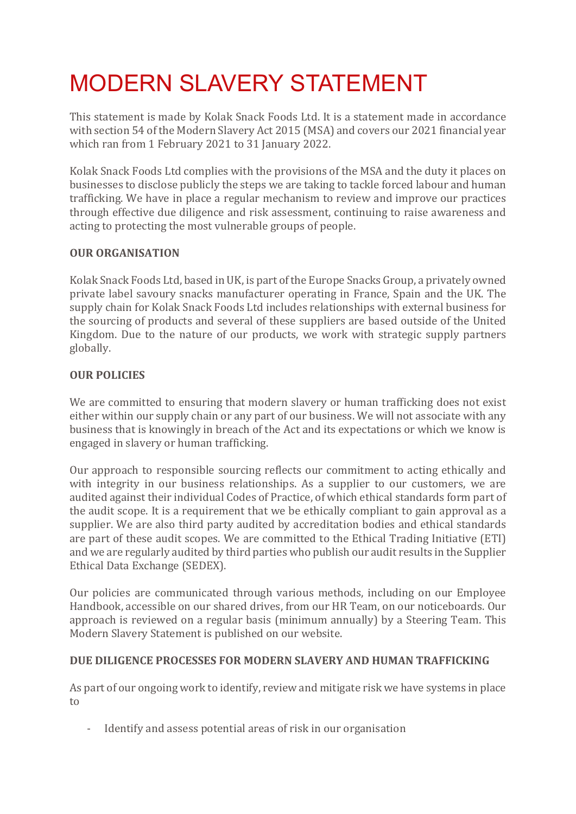# MODERN SLAVERY STATEMENT

This statement is made by Kolak Snack Foods Ltd. It is a statement made in accordance with section 54 of the Modern Slavery Act 2015 (MSA) and covers our 2021 financial year which ran from 1 February 2021 to 31 January 2022.

Kolak Snack Foods Ltd complies with the provisions of the MSA and the duty it places on businesses to disclose publicly the steps we are taking to tackle forced labour and human trafficking. We have in place a regular mechanism to review and improve our practices through effective due diligence and risk assessment, continuing to raise awareness and acting to protecting the most vulnerable groups of people.

## **OUR ORGANISATION**

Kolak Snack Foods Ltd, based in UK, is part of the Europe Snacks Group, a privately owned private label savoury snacks manufacturer operating in France, Spain and the UK. The supply chain for Kolak Snack Foods Ltd includes relationships with external business for the sourcing of products and several of these suppliers are based outside of the United Kingdom. Due to the nature of our products, we work with strategic supply partners globally.

# **OUR POLICIES**

We are committed to ensuring that modern slavery or human trafficking does not exist either within our supply chain or any part of our business. We will not associate with any business that is knowingly in breach of the Act and its expectations or which we know is engaged in slavery or human trafficking.

Our approach to responsible sourcing reflects our commitment to acting ethically and with integrity in our business relationships. As a supplier to our customers, we are audited against their individual Codes of Practice, of which ethical standards form part of the audit scope. It is a requirement that we be ethically compliant to gain approval as a supplier. We are also third party audited by accreditation bodies and ethical standards are part of these audit scopes. We are committed to the Ethical Trading Initiative (ETI) and we are regularly audited by third parties who publish our audit results in the Supplier Ethical Data Exchange (SEDEX).

Our policies are communicated through various methods, including on our Employee Handbook, accessible on our shared drives, from our HR Team, on our noticeboards. Our approach is reviewed on a regular basis (minimum annually) by a Steering Team. This Modern Slavery Statement is published on our website.

#### **DUE DILIGENCE PROCESSES FOR MODERN SLAVERY AND HUMAN TRAFFICKING**

As part of our ongoing work to identify, review and mitigate risk we have systems in place to

- Identify and assess potential areas of risk in our organisation